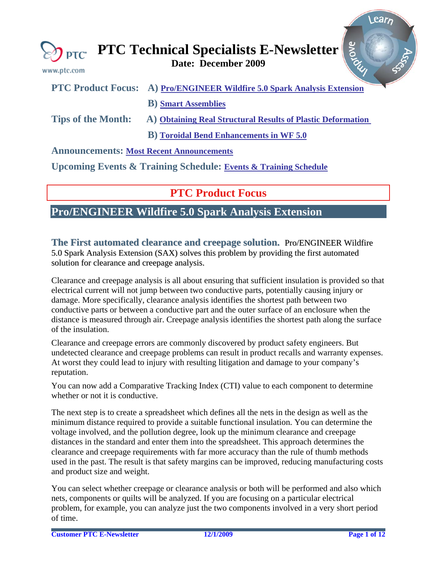<span id="page-0-0"></span>

| www.ptc.com               | prove<br>$\bigotimes_{\text{PTC}} \text{PTC Technical Specialists E-Newsletter}$ |
|---------------------------|----------------------------------------------------------------------------------|
|                           | PTC Product Focus: A) Pro/ENGINEER Wildfire 5.0 Spark Analysis Extension         |
|                           | <b>B</b> ) Smart Assemblies                                                      |
| <b>Tips of the Month:</b> | A) Obtaining Real Structural Results of Plastic Deformation                      |
|                           | <b>B</b> ) Toroidal Bend Enhancements in WF 5.0                                  |
|                           | <b>Announcements: Most Recent Announcements</b>                                  |

**Upcoming Events & Training Schedule: [Events & Training Schedule](#page-10-0)**

# **PTC Product Focus**

## **Pro/ENGINEER Wildfire 5.0 Spark Analysis Extension**

**The First automated clearance and creepage solution.** Pro/ENGINEER Wildfire 5.0 Spark Analysis Extension (SAX) solves this problem by providing the first automated solution for clearance and creepage analysis.

Clearance and creepage analysis is all about ensuring that sufficient insulation is provided so that electrical current will not jump between two conductive parts, potentially causing injury or damage. More specifically, clearance analysis identifies the shortest path between two conductive parts or between a conductive part and the outer surface of an enclosure when the distance is measured through air. Creepage analysis identifies the shortest path along the surface of the insulation.

Clearance and creepage errors are commonly discovered by product safety engineers. But undetected clearance and creepage problems can result in product recalls and warranty expenses. At worst they could lead to injury with resulting litigation and damage to your company's reputation.

You can now add a Comparative Tracking Index (CTI) value to each component to determine whether or not it is conductive.

The next step is to create a spreadsheet which defines all the nets in the design as well as the minimum distance required to provide a suitable functional insulation. You can determine the voltage involved, and the pollution degree, look up the minimum clearance and creepage distances in the standard and enter them into the spreadsheet. This approach determines the clearance and creepage requirements with far more accuracy than the rule of thumb methods used in the past. The result is that safety margins can be improved, reducing manufacturing costs and product size and weight.

You can select whether creepage or clearance analysis or both will be performed and also which nets, components or quilts will be analyzed. If you are focusing on a particular electrical problem, for example, you can analyze just the two components involved in a very short period of time.

Learr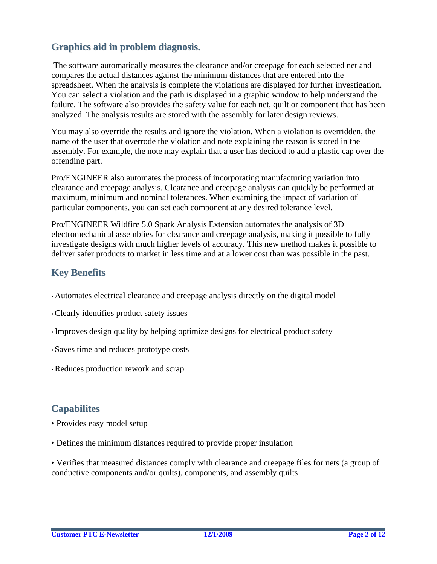### **Graphics aid in problem diagnosis.**

 The software automatically measures the clearance and/or creepage for each selected net and compares the actual distances against the minimum distances that are entered into the spreadsheet. When the analysis is complete the violations are displayed for further investigation. You can select a violation and the path is displayed in a graphic window to help understand the failure. The software also provides the safety value for each net, quilt or component that has been analyzed. The analysis results are stored with the assembly for later design reviews.

You may also override the results and ignore the violation. When a violation is overridden, the name of the user that overrode the violation and note explaining the reason is stored in the assembly. For example, the note may explain that a user has decided to add a plastic cap over the offending part.

Pro/ENGINEER also automates the process of incorporating manufacturing variation into clearance and creepage analysis. Clearance and creepage analysis can quickly be performed at maximum, minimum and nominal tolerances. When examining the impact of variation of particular components, you can set each component at any desired tolerance level.

Pro/ENGINEER Wildfire 5.0 Spark Analysis Extension automates the analysis of 3D electromechanical assemblies for clearance and creepage analysis, making it possible to fully investigate designs with much higher levels of accuracy. This new method makes it possible to deliver safer products to market in less time and at a lower cost than was possible in the past.

### **Key Benefits**

- Automates electrical clearance and creepage analysis directly on the digital model
- Clearly identifies product safety issues
- Improves design quality by helping optimize designs for electrical product safety
- Saves time and reduces prototype costs
- Reduces production rework and scrap

### **Capabilites**

- Provides easy model setup
- Defines the minimum distances required to provide proper insulation

• Verifies that measured distances comply with clearance and creepage files for nets (a group of conductive components and/or quilts), components, and assembly quilts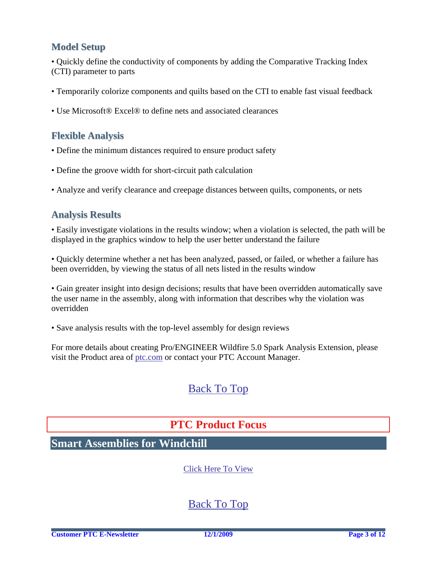### <span id="page-2-0"></span>**Model Setup**

• Quickly define the conductivity of components by adding the Comparative Tracking Index (CTI) parameter to parts

- Temporarily colorize components and quilts based on the CTI to enable fast visual feedback
- Use Microsoft® Excel® to define nets and associated clearances

### **Flexible Analysis**

- Define the minimum distances required to ensure product safety
- Define the groove width for short-circuit path calculation
- Analyze and verify clearance and creepage distances between quilts, components, or nets

### **Analysis Results**

• Easily investigate violations in the results window; when a violation is selected, the path will be displayed in the graphics window to help the user better understand the failure

• Quickly determine whether a net has been analyzed, passed, or failed, or whether a failure has been overridden, by viewing the status of all nets listed in the results window

• Gain greater insight into design decisions; results that have been overridden automatically save the user name in the assembly, along with information that describes why the violation was overridden

• Save analysis results with the top-level assembly for design reviews

For more details about creating Pro/ENGINEER Wildfire 5.0 Spark Analysis Extension, please visit the Product area of [ptc.com](http://www.ptc.com/) or contact your PTC Account Manager.

# [Back To Top](#page-0-0)

# **PTC Product Focus**

**Smart Assemblies for Windchill** 

[Click Here To View](http://members.shaw.ca/jpeng/newsletter/PTC_Technical_Specialists_E-Newsletter_2009_12_desktopb.pdf)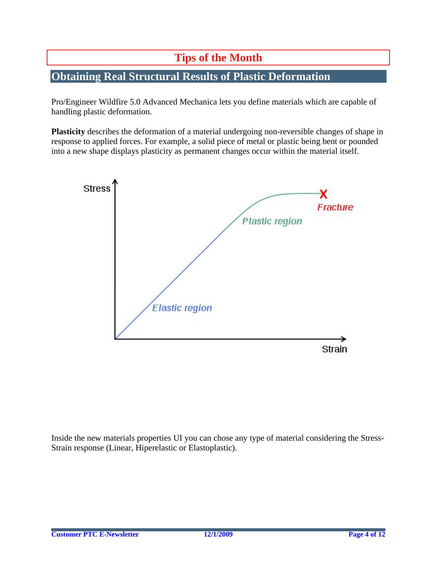# **Tips of the Month**

# <span id="page-3-0"></span>**Obtaining Real Structural Results of Plastic Deformation**

Pro/Engineer Wildfire 5.0 Advanced Mechanica lets you define materials which are capable of handling plastic deformation.

**Plasticity** describes the deformation of a material undergoing non-reversible changes of shape in response to applied forces. For example, a solid piece of metal or plastic being bent or pounded into a new shape displays plasticity as permanent changes occur within the material itself.



Inside the new materials properties UI you can chose any type of material considering the Stress-Strain response (Linear, Hiperelastic or Elastoplastic).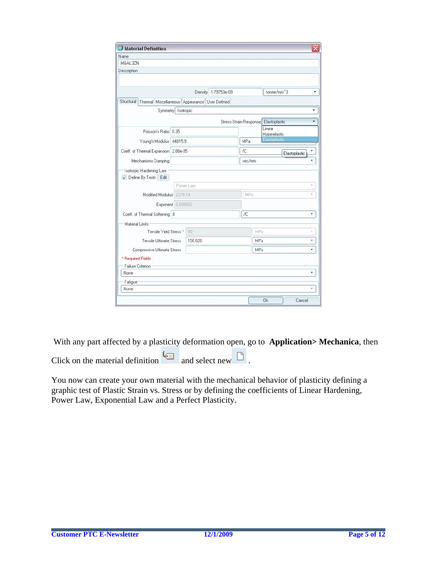| Name                                                     |                   |                     |                        |        |                         |               |   |
|----------------------------------------------------------|-------------------|---------------------|------------------------|--------|-------------------------|---------------|---|
| MGAL3ZN                                                  |                   |                     |                        |        |                         |               |   |
| Description                                              |                   |                     |                        |        |                         |               |   |
|                                                          |                   |                     |                        |        |                         |               |   |
|                                                          |                   | Density 1.79753e-09 |                        |        | tonne/mm <sup>^3</sup>  |               | ٠ |
| Structural Thermal Miscellaneous Appearance User Defined |                   |                     |                        |        |                         |               |   |
| Symmetry Isotropic                                       |                   |                     |                        |        |                         |               | ٠ |
|                                                          |                   |                     |                        |        |                         |               |   |
|                                                          |                   |                     | Stress-Strain Response |        | Elastoplastic<br>Linear |               |   |
| Poisson's Ratio 0.35                                     |                   |                     |                        |        | Hyperelastic            |               |   |
| Young's Modulus 44815.9                                  |                   |                     |                        | MPa    | Elastoplastic           |               |   |
| Coeff. of Thermal Expansion 2.88e-05                     |                   |                     |                        | /C     |                         | Elastoplastic |   |
| Mechanisms Damping                                       |                   |                     |                        | sec/mm |                         |               |   |
| Isotropic Hardening Law                                  |                   |                     |                        |        |                         |               |   |
| Define By Tests Edit                                     |                   |                     |                        |        |                         |               |   |
|                                                          |                   | Power Law           |                        |        |                         |               |   |
| Modified Modulus 2279.19                                 |                   |                     |                        | MPa    |                         |               |   |
|                                                          | Exponent 0.689892 |                     |                        |        |                         |               |   |
| Coeff. of Thermal Softening 0                            |                   |                     |                        | /C     |                         |               |   |
| <b>Material Limits</b>                                   |                   |                     |                        |        |                         |               |   |
| Tensile Yield Stress *                                   |                   | 90                  |                        |        | MPa                     |               |   |
| <b>Tensile Ultimate Stress</b>                           |                   | 156.826             |                        |        | MPa                     |               | ٠ |
| <b>Compressive Ultimate Stress</b>                       |                   |                     |                        |        | MPa                     |               |   |
| * Required Fields                                        |                   |                     |                        |        |                         |               |   |
| Failure Criterion                                        |                   |                     |                        |        |                         |               |   |
| None                                                     |                   |                     |                        |        |                         |               | ٠ |
| Fatigue                                                  |                   |                     |                        |        |                         |               |   |
| None                                                     |                   |                     |                        |        |                         |               |   |

With any part affected by a plasticity deformation open, go to **Application> Mechanica**, then

Click on the material definition  $\begin{bmatrix} \overline{a} \\ \overline{a} \end{bmatrix}$  and select new  $\begin{bmatrix} \overline{a} \\ \overline{b} \end{bmatrix}$ .

You now can create your own material with the mechanical behavior of plasticity defining a graphic test of Plastic Strain vs. Stress or by defining the coefficients of Linear Hardening, Power Law, Exponential Law and a Perfect Plasticity.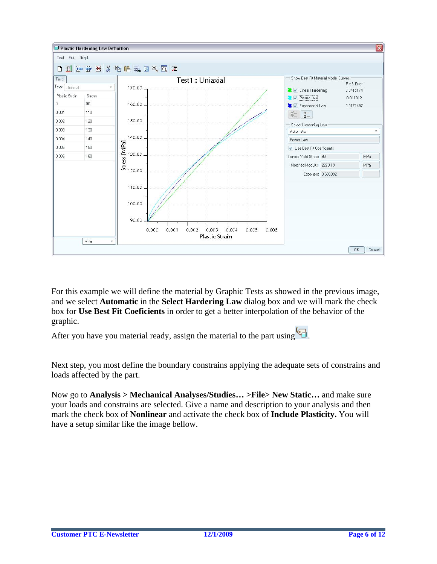

For this example we will define the material by Graphic Tests as showed in the previous image, and we select **Automatic** in the **Select Hardering Law** dialog box and we will mark the check box for **Use Best Fit Coeficients** in order to get a better interpolation of the behavior of the graphic.

After you have you material ready, assign the material to the part using  $\Box$ .

Next step, you most define the boundary constrains applying the adequate sets of constrains and loads affected by the part.

Now go to **Analysis > Mechanical Analyses/Studies… >File> New Static…** and make sure your loads and constrains are selected. Give a name and description to your analysis and then mark the check box of **Nonlinear** and activate the check box of **Include Plasticity.** You will have a setup similar like the image bellow.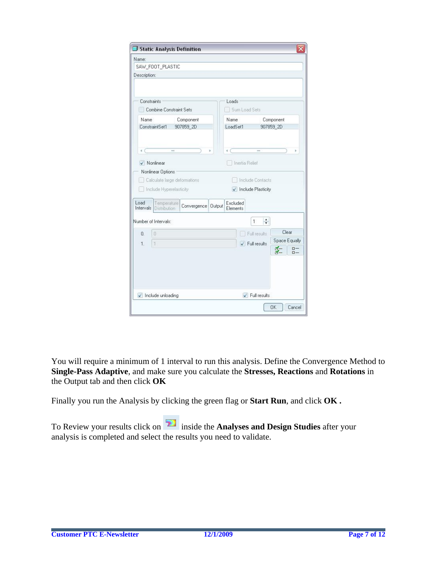|                         | SAW_FOOT_PLASTIC                                                                                                   |                        |          |                                                                 |                        |
|-------------------------|--------------------------------------------------------------------------------------------------------------------|------------------------|----------|-----------------------------------------------------------------|------------------------|
| Description:            |                                                                                                                    |                        |          |                                                                 |                        |
| Constraints             |                                                                                                                    |                        | Loads    |                                                                 |                        |
| Combine Constraint Sets |                                                                                                                    |                        | Name     | Sum Load Sets                                                   |                        |
| Name                    | ConstraintSet1                                                                                                     | Component<br>907859 2D | LoadSet1 |                                                                 | Component<br>907859 2D |
| Load                    | $\sqrt{}$ Nonlinear<br>Nonlinear Options<br>Calculate large deformations<br>Include Hyperelasticity<br>Temperature | Convergence Output     | Excluded | Inertia Relief<br><b>Include Contacts</b><br>Include Plasticity |                        |
| Intervals               | Distribution                                                                                                       |                        | Elements |                                                                 |                        |
|                         | Number of Intervals:                                                                                               |                        |          | $\frac{4}{7}$<br>$\mathbf{1}$                                   |                        |
| 0.                      | Ū                                                                                                                  |                        |          | <b>Full results</b>                                             | Clear                  |
| ٦<br>1.                 |                                                                                                                    |                        |          | $\sqrt{\phantom{a}}$ Full results                               | Space Equally          |
|                         |                                                                                                                    |                        |          |                                                                 | $\Box -$<br>⋭<br>$n -$ |
|                         |                                                                                                                    |                        |          |                                                                 |                        |

You will require a minimum of 1 interval to run this analysis. Define the Convergence Method to **Single-Pass Adaptive**, and make sure you calculate the **Stresses, Reactions** and **Rotations** in the Output tab and then click **OK** 

Finally you run the Analysis by clicking the green flag or **Start Run**, and click **OK .** 

To Review your results click on **inside the Analyses and Design Studies** after your analysis is completed and select the results you need to validate.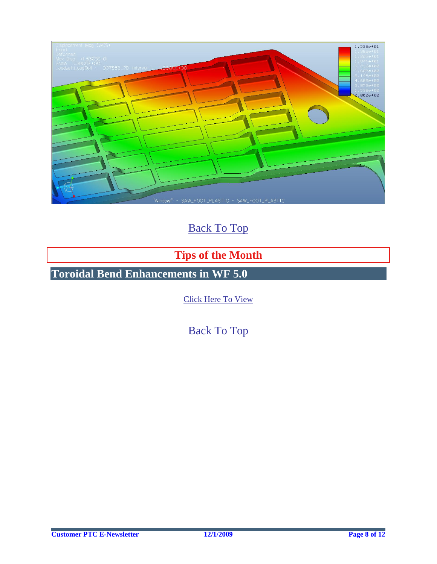<span id="page-7-0"></span>

# [Back To Top](#page-0-0)

# **Tips of the Month**

**Toroidal Bend Enhancements in WF 5.0** 

[Click Here To View](http://members.shaw.ca/jpeng/newsletter/PTC_Technical_Specialists_E-Newsletter_2009_12_desktopb.pdf)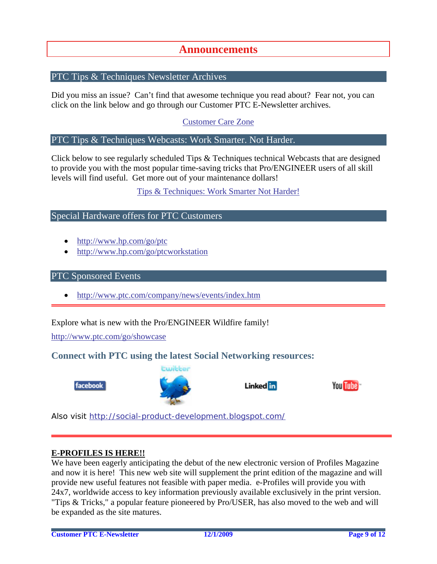### **Announcements**

### <span id="page-8-0"></span>PTC Tips & Techniques Newsletter Archives

Did you miss an issue? Can't find that awesome technique you read about? Fear not, you can click on the link below and go through our Customer PTC E-Newsletter archives.

[Customer Care Zone](http://www.ptc.com/carezone/)

#### PTC Tips & Techniques Webcasts: Work Smarter. Not Harder.

Click below to see regularly scheduled Tips & Techniques technical Webcasts that are designed to provide you with the most popular time-saving tricks that Pro/ENGINEER users of all skill levels will find useful. Get more out of your maintenance dollars!

#### [Tips & Techniques: Work Smarter Not Harder!](http://www.ptc.com/appserver/it/icm/cda/template_lib/events/series.jsp?&im_dbkey=11442&icg_dbkey=141)

### Special Hardware offers for PTC Customers

- <http://www.hp.com/go/ptc>
- <http://www.hp.com/go/ptcworkstation>

#### PTC Sponsored Events

• http://www.ptc.com/company/news/events/index.htm

Explore what is new with the Pro/ENGINEER Wildfire family!

<http://www.ptc.com/go/showcase>

### **Connect with PTC using the latest Social Networking resources:**





### Linked in



Also visit<http://social-product-development.blogspot.com/>

#### **E-PROFILES IS HERE!!**

We have been eagerly anticipating the debut of the new electronic version of Profiles Magazine and now it is here! This new web site will supplement the print edition of the magazine and will provide new useful features not feasible with paper media. e-Profiles will provide you with 24x7, worldwide access to key information previously available exclusively in the print version. "Tips & Tricks," a popular feature pioneered by Pro/USER, has also moved to the web and will be expanded as the site matures.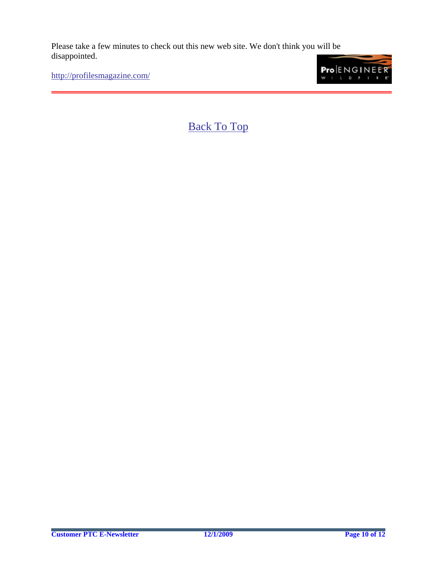Please take a few minutes to check out this new web site. We don't think you will be disappointed.

<http://profilesmagazine.com/>

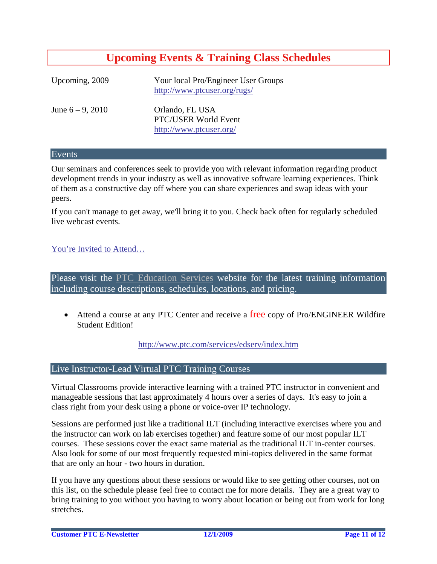# **Upcoming Events & Training Class Schedules**

<span id="page-10-0"></span>

| Upcoming, 2009      | Your local Pro/Engineer User Groups<br>http://www.ptcuser.org/rugs/ |
|---------------------|---------------------------------------------------------------------|
| June $6 - 9$ , 2010 | Orlando, FL USA<br>PTC/USER World Event<br>http://www.ptcuser.org/  |

#### Events

Our seminars and conferences seek to provide you with relevant information regarding product development trends in your industry as well as innovative software learning experiences. Think of them as a constructive day off where you can share experiences and swap ideas with your peers.

If you can't manage to get away, we'll bring it to you. Check back often for regularly scheduled live webcast events.

#### [You're Invited to Attend…](http://www.ptc.com/company/news/events/index.htm)

Please visit the [PTC Education Services](http://www.ptc.com/services/edserv/) website for the latest training information including course descriptions, schedules, locations, and pricing.

• Attend a course at any PTC Center and receive a free copy of Pro/ENGINEER Wildfire Student Edition!

<http://www.ptc.com/services/edserv/index.htm>

#### Live Instructor-Lead Virtual PTC Training Courses

Virtual Classrooms provide interactive learning with a trained PTC instructor in convenient and manageable sessions that last approximately 4 hours over a series of days. It's easy to join a class right from your desk using a phone or voice-over IP technology.

Sessions are performed just like a traditional ILT (including interactive exercises where you and the instructor can work on lab exercises together) and feature some of our most popular ILT courses. These sessions cover the exact same material as the traditional ILT in-center courses. Also look for some of our most frequently requested mini-topics delivered in the same format that are only an hour - two hours in duration.

If you have any questions about these sessions or would like to see getting other courses, not on this list, on the schedule please feel free to contact me for more details. They are a great way to bring training to you without you having to worry about location or being out from work for long stretches.